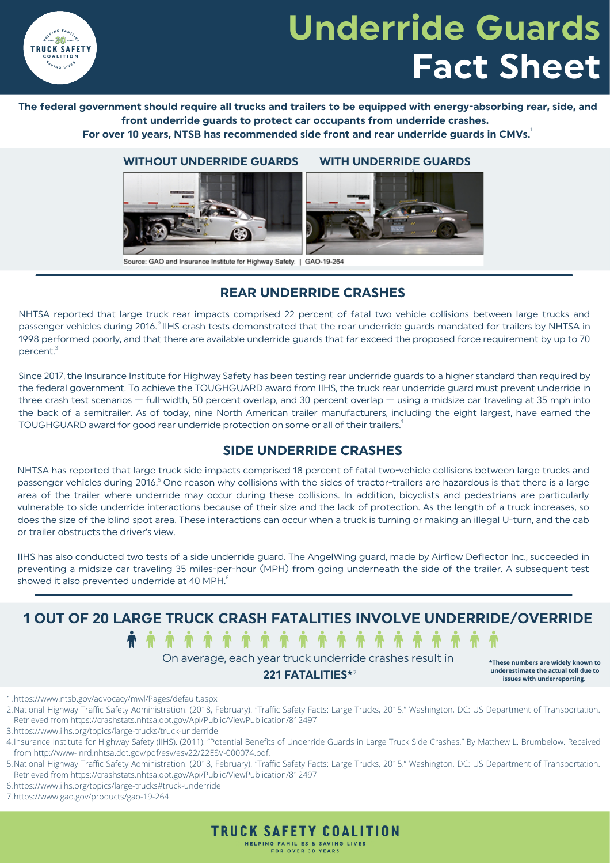

# **Underride Guards Fact Sheet**

#### The federal government should require all trucks and trailers to be equipped with energy-absorbing rear, side, and **front underride guards to protect car occupants from underride crashes.**

**For over 10 years, NTSB has recommended side front and rear underride guards in CMVs.** 1



#### **WITHOUT UNDERRIDE GUARDS WITH UNDERRIDE GUARDS**



Source: GAO and Insurance Institute for Highway Safety. | GAO-19-264

### **REAR UNDERRIDE CRASHES**

NHTSA reported that large truck rear impacts comprised 22 percent of fatal two vehicle collisions between large trucks and passenger vehicles during 2016.<sup>2</sup> IIHS crash tests demonstrated that the rear underride guards mandated for trailers by NHTSA in 1998 performed poorly, and that there are available underride guards that far exceed the proposed force requirement by up to 70 percent. $^{\scriptscriptstyle 3}$ 

Since 2017, the [Insurance](https://www.iihs.org/topics/large-trucks/truck-underride) Institute for Highway Safety has been testing rear underride guards to a higher standard than required by the federal government. To achieve the TOUGHGUARD award from IIHS, the truck rear underride guard must prevent underride in three crash test scenarios — full-width, 50 percent overlap, and 30 percent overlap — using a midsize car traveling at 35 mph into the back of a semitrailer. As of today, nine North American trailer manufacturers, including the eight largest, have earned the TOUGHGUARD award for good rear underride protection on some or all of their trailers. $\mathrm{^4}$ 

### **SIDE UNDERRIDE CRASHES**

NHTSA has reported that large truck side impacts comprised 18 percent of fatal two-vehicle collisions between large trucks and passenger vehicles during 2016.<sup>5</sup> One reason why collisions with the sides of tractor-trailers are hazardous is that there is a large area of the trailer where underride may occur during these collisions. In addition, bicyclists and pedestrians are particularly vulnerable to side underride interactions because of their size and the lack of protection. As the length of a truck increases, so does the size of the blind spot area. These interactions can occur when a truck is turning or making an illegal U-turn, and the cab or trailer obstructs the driver's view.

IIHS has also conducted two tests of a side underride guard. The AngelWing guard, made by Airflow Deflector Inc., succeeded in preventing a midsize car traveling 35 miles-per-hour (MPH) from going underneath the side of the trailer. A subsequent test showed it also prevented underride at 40 MPH. $^{\rm 6}$ 

**1 OUT OF 20 LARGE TRUCK CRASH FATALITIES INVOLVE UNDERRIDE/OVERRIDE**

**................** On average, each year truck underride crashes result in

#### **221 FATALITIES\*** 7

**\*These numbers are widely known to underestimate the actual toll due to issues with underreporting.**

https://www.ntsb.gov/advocacy/mwl/Pages/default.aspx 1.

2.National Highway Traffic Safety Administration. (2018, February). "Traffic Safety Facts: Large Trucks, 2015." Washington, DC: US Department of Transportation. Retrieved from https://crashstats.nhtsa.dot.gov/Api/Public/ViewPublication/812497

6.https://www.iihs.org/topics/large-trucks#truck-underride

https://www.gao.gov/products/gao-19-264 7.



<sup>3.</sup>https://www.iihs.org/topics/large-trucks/truck-underride

Insurance Institute for Highway Safety (IIHS). (2011). "Potential Benefits of Underride Guards in Large Truck Side Crashes." By Matthew L. Brumbelow. Received 4. from http://www- nrd.nhtsa.dot.gov/pdf/esv/esv22/22ESV-000074.pdf.

<sup>5.</sup>National Highway Traffic Safety Administration. (2018, February). "Traffic Safety Facts: Large Trucks, 2015." Washington, DC: US Department of Transportation. Retrieved from https://crashstats.nhtsa.dot.gov/Api/Public/ViewPublication/812497